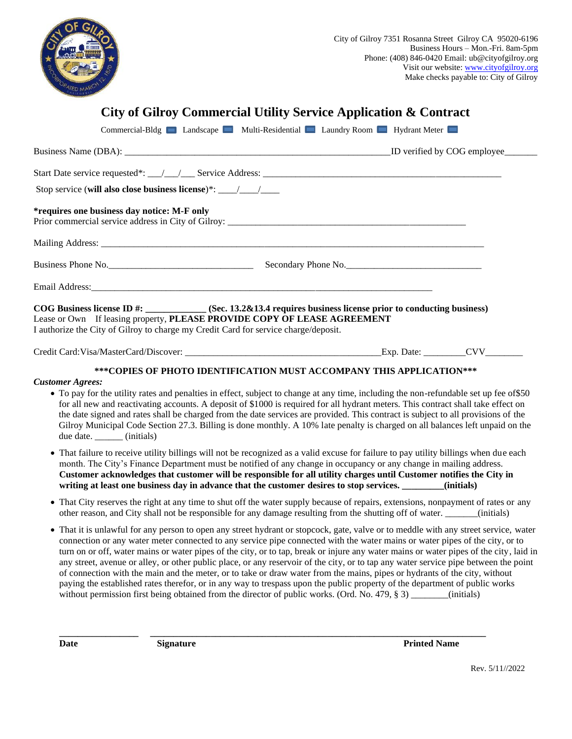

# **City of Gilroy Commercial Utility Service Application & Contract**

| Commercial-Bldg Landscape Multi-Residential Laundry Room Hydrant Meter                                                                                                                                                                                                                                                                                                                                                                                                                                                                                                                                                                                                                                                                                                                                                          |  |
|---------------------------------------------------------------------------------------------------------------------------------------------------------------------------------------------------------------------------------------------------------------------------------------------------------------------------------------------------------------------------------------------------------------------------------------------------------------------------------------------------------------------------------------------------------------------------------------------------------------------------------------------------------------------------------------------------------------------------------------------------------------------------------------------------------------------------------|--|
|                                                                                                                                                                                                                                                                                                                                                                                                                                                                                                                                                                                                                                                                                                                                                                                                                                 |  |
|                                                                                                                                                                                                                                                                                                                                                                                                                                                                                                                                                                                                                                                                                                                                                                                                                                 |  |
|                                                                                                                                                                                                                                                                                                                                                                                                                                                                                                                                                                                                                                                                                                                                                                                                                                 |  |
| *requires one business day notice: M-F only<br>Prior commercial service address in City of Gilroy:                                                                                                                                                                                                                                                                                                                                                                                                                                                                                                                                                                                                                                                                                                                              |  |
|                                                                                                                                                                                                                                                                                                                                                                                                                                                                                                                                                                                                                                                                                                                                                                                                                                 |  |
|                                                                                                                                                                                                                                                                                                                                                                                                                                                                                                                                                                                                                                                                                                                                                                                                                                 |  |
|                                                                                                                                                                                                                                                                                                                                                                                                                                                                                                                                                                                                                                                                                                                                                                                                                                 |  |
| COG Business license ID #: ____________(Sec. 13.2&13.4 requires business license prior to conducting business)<br>Lease or Own If leasing property, PLEASE PROVIDE COPY OF LEASE AGREEMENT<br>I authorize the City of Gilroy to charge my Credit Card for service charge/deposit.                                                                                                                                                                                                                                                                                                                                                                                                                                                                                                                                               |  |
|                                                                                                                                                                                                                                                                                                                                                                                                                                                                                                                                                                                                                                                                                                                                                                                                                                 |  |
| *** COPIES OF PHOTO IDENTIFICATION MUST ACCOMPANY THIS APPLICATION***<br><b>Customer Agrees:</b><br>• To pay for the utility rates and penalties in effect, subject to change at any time, including the non-refundable set up fee of \$50<br>for all new and reactivating accounts. A deposit of \$1000 is required for all hydrant meters. This contract shall take effect on<br>the date signed and rates shall be charged from the date services are provided. This contract is subject to all provisions of the<br>Gilroy Municipal Code Section 27.3. Billing is done monthly. A 10% late penalty is charged on all balances left unpaid on the<br>due date. ________ (initials)<br>• That failure to receive utility billings will not be recognized as a valid excuse for failure to pay utility billings when due each |  |
| month. The City's Finance Department must be notified of any change in occupancy or any change in mailing address.<br>Customer acknowledges that customer will be responsible for all utility charges until Customer notifies the City in<br>writing at least one business day in advance that the customer desires to stop services. ________(initials)                                                                                                                                                                                                                                                                                                                                                                                                                                                                        |  |
| • That City reserves the right at any time to shut off the water supply because of repairs, extensions, nonpayment of rates or any                                                                                                                                                                                                                                                                                                                                                                                                                                                                                                                                                                                                                                                                                              |  |

other reason, and City shall not be responsible for any damage resulting from the shutting off of water. \_\_\_\_\_\_\_(initials) • That it is unlawful for any person to open any street hydrant or stopcock, gate, valve or to meddle with any street service, water connection or any water meter connected to any service pipe connected with the water mains or water pipes of the city, or to turn on or off, water mains or water pipes of the city, or to tap, break or injure any water mains or water pipes of the city, laid in any street, avenue or alley, or other public place, or any reservoir of the city, or to tap any water service pipe between the point of connection with the main and the meter, or to take or draw water from the mains, pipes or hydrants of the city, without

paying the established rates therefor, or in any way to trespass upon the public property of the department of public works without permission first being obtained from the director of public works. (Ord. No. 479, § 3) \_\_\_\_\_\_\_(initials)

**\_\_\_\_\_\_\_\_\_\_\_\_\_\_\_\_\_ \_\_\_\_\_\_\_\_\_\_\_\_\_\_\_\_\_\_\_\_\_\_\_\_\_\_\_\_\_\_\_\_\_\_\_\_\_\_\_\_\_\_\_\_\_\_\_\_\_\_\_\_\_\_\_\_\_\_\_\_\_\_\_\_\_\_\_\_\_\_\_\_**

**Date Printed Name Printed Name Printed Name**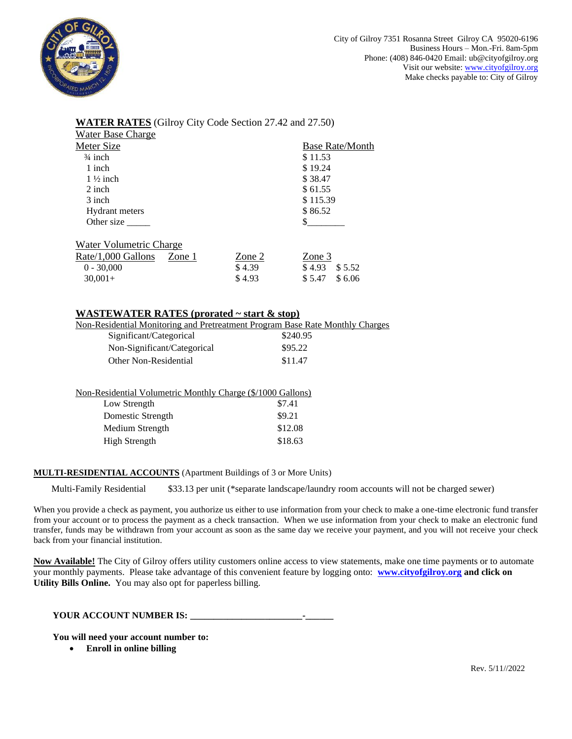

| $\frac{1}{2}$ and $\frac{1}{2}$ and $\frac{1}{2}$ (Smo) can be seen in $\frac{1}{2}$ and $\frac{1}{2}$ and $\frac{1}{2}$ |          |        |                        |
|--------------------------------------------------------------------------------------------------------------------------|----------|--------|------------------------|
| <b>Water Base Charge</b>                                                                                                 |          |        |                        |
| Meter Size                                                                                                               |          |        | <b>Base Rate/Month</b> |
| $\frac{3}{4}$ inch                                                                                                       |          |        | \$11.53                |
| 1 inch                                                                                                                   |          |        | \$19.24                |
| $1\frac{1}{2}$ inch                                                                                                      |          |        | \$38.47                |
| 2 inch                                                                                                                   |          |        | \$61.55                |
| 3 inch                                                                                                                   |          |        | \$115.39               |
| <b>Hydrant</b> meters                                                                                                    |          |        | \$86.52                |
| Other size                                                                                                               |          |        |                        |
| Water Volumetric Charge                                                                                                  |          |        |                        |
| Rate/1,000 Gallons                                                                                                       | Zone $1$ | Zone 2 | Zone 3                 |
| $0 - 30,000$                                                                                                             |          | \$4.39 | \$4.93<br>\$5.52       |
| $30.001+$                                                                                                                |          | \$4.93 | \$5.47<br>\$6.06       |
|                                                                                                                          |          |        |                        |

**WATER RATES** (Gilroy City Code Section 27.42 and 27.50)

## **WASTEWATER RATES (prorated ~ start & stop)**

#### Non-Residential Monitoring and Pretreatment Program Base Rate Monthly Charges

| Significant/Categorical     | \$240.95 |
|-----------------------------|----------|
| Non-Significant/Categorical | \$95.22  |
| Other Non-Residential       | \$11.47  |

| Non-Residential Volumetric Monthly Charge (\$/1000 Gallons) |         |
|-------------------------------------------------------------|---------|
| Low Strength                                                | \$7.41  |
| Domestic Strength                                           | \$9.21  |
| Medium Strength                                             | \$12.08 |
| <b>High Strength</b>                                        | \$18.63 |

#### **MULTI-RESIDENTIAL ACCOUNTS** (Apartment Buildings of 3 or More Units)

Multi-Family Residential \$33.13 per unit (\*separate landscape/laundry room accounts will not be charged sewer)

When you provide a check as payment, you authorize us either to use information from your check to make a one-time electronic fund transfer from your account or to process the payment as a check transaction. When we use information from your check to make an electronic fund transfer, funds may be withdrawn from your account as soon as the same day we receive your payment, and you will not receive your check back from your financial institution.

**Now Available!** The City of Gilroy offers utility customers online access to view statements, make one time payments or to automate your monthly payments. Please take advantage of this convenient feature by logging onto: **[www.cityofgilroy.org](http://www.cityofgilroy.org/) and click on Utility Bills Online.** You may also opt for paperless billing.

### **YOUR ACCOUNT NUMBER IS: \_\_\_\_\_\_\_\_\_\_\_\_\_\_\_\_\_\_\_\_\_\_\_\_-\_\_\_\_\_\_**

**You will need your account number to:**

• **Enroll in online billing**